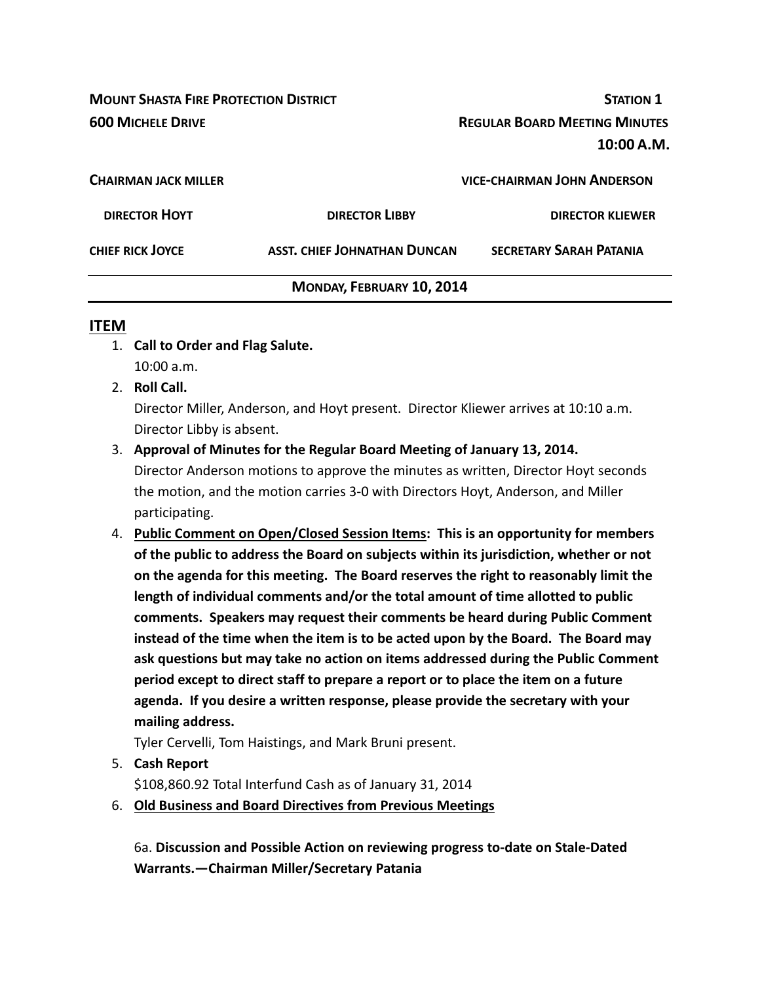**MOUNT SHASTA FIRE PROTECTION DISTRICT STATION 1 600 MICHELE DRIVE REGULAR BOARD MEETING MINUTES 10:00 A.M. CHAIRMAN JACK MILLER VICE‐CHAIRMAN JOHN ANDERSON DIRECTOR HOYT DIRECTOR LIBBY DIRECTOR KLIEWER CHIEF RICK JOYCE ASST. CHIEF JOHNATHAN DUNCAN SECRETARY SARAH PATANIA MONDAY, FEBRUARY 10, 2014**

#### **ITEM**

- 1. **Call to Order and Flag Salute.** 10:00 a.m.
- 2. **Roll Call.**

Director Miller, Anderson, and Hoyt present. Director Kliewer arrives at 10:10 a.m. Director Libby is absent.

3. **Approval of Minutes for the Regular Board Meeting of January 13, 2014.**

Director Anderson motions to approve the minutes as written, Director Hoyt seconds the motion, and the motion carries 3‐0 with Directors Hoyt, Anderson, and Miller participating.

4. **Public Comment on Open/Closed Session Items: This is an opportunity for members of the public to address the Board on subjects within its jurisdiction, whether or not on the agenda for this meeting. The Board reserves the right to reasonably limit the length of individual comments and/or the total amount of time allotted to public comments. Speakers may request their comments be heard during Public Comment instead of the time when the item is to be acted upon by the Board. The Board may ask questions but may take no action on items addressed during the Public Comment period except to direct staff to prepare a report or to place the item on a future agenda. If you desire a written response, please provide the secretary with your mailing address.**

Tyler Cervelli, Tom Haistings, and Mark Bruni present.

5. **Cash Report** 

\$108,860.92 Total Interfund Cash as of January 31, 2014

6. **Old Business and Board Directives from Previous Meetings**

6a. **Discussion and Possible Action on reviewing progress to‐date on Stale‐Dated Warrants.—Chairman Miller/Secretary Patania**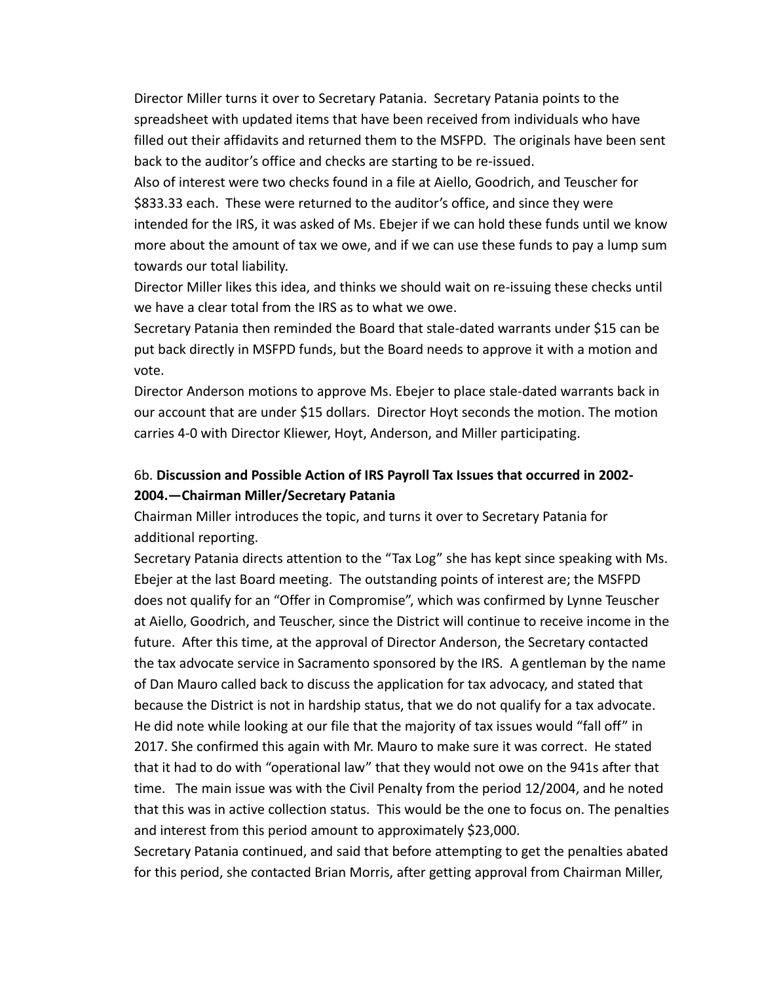Director Miller turns it over to Secretary Patania. Secretary Patania points to the spreadsheet with updated items that have been received from individuals who have filled out their affidavits and returned them to the MSFPD. The originals have been sent back to the auditor's office and checks are starting to be re‐issued.

Also of interest were two checks found in a file at Aiello, Goodrich, and Teuscher for \$833.33 each. These were returned to the auditor's office, and since they were intended for the IRS, it was asked of Ms. Ebejer if we can hold these funds until we know more about the amount of tax we owe, and if we can use these funds to pay a lump sum towards our total liability.

Director Miller likes this idea, and thinks we should wait on re-issuing these checks until we have a clear total from the IRS as to what we owe.

Secretary Patania then reminded the Board that stale‐dated warrants under \$15 can be put back directly in MSFPD funds, but the Board needs to approve it with a motion and vote.

Director Anderson motions to approve Ms. Ebejer to place stale‐dated warrants back in our account that are under \$15 dollars. Director Hoyt seconds the motion. The motion carries 4‐0 with Director Kliewer, Hoyt, Anderson, and Miller participating.

### 6b. **Discussion and Possible Action of IRS Payroll Tax Issues that occurred in 2002‐ 2004.—Chairman Miller/Secretary Patania**

Chairman Miller introduces the topic, and turns it over to Secretary Patania for additional reporting.

Secretary Patania directs attention to the "Tax Log" she has kept since speaking with Ms. Ebejer at the last Board meeting. The outstanding points of interest are; the MSFPD does not qualify for an "Offer in Compromise", which was confirmed by Lynne Teuscher at Aiello, Goodrich, and Teuscher, since the District will continue to receive income in the future. After this time, at the approval of Director Anderson, the Secretary contacted the tax advocate service in Sacramento sponsored by the IRS. A gentleman by the name of Dan Mauro called back to discuss the application for tax advocacy, and stated that because the District is not in hardship status, that we do not qualify for a tax advocate. He did note while looking at our file that the majority of tax issues would "fall off" in 2017. She confirmed this again with Mr. Mauro to make sure it was correct. He stated that it had to do with "operational law" that they would not owe on the 941s after that time. The main issue was with the Civil Penalty from the period 12/2004, and he noted that this was in active collection status. This would be the one to focus on. The penalties and interest from this period amount to approximately \$23,000.

Secretary Patania continued, and said that before attempting to get the penalties abated for this period, she contacted Brian Morris, after getting approval from Chairman Miller,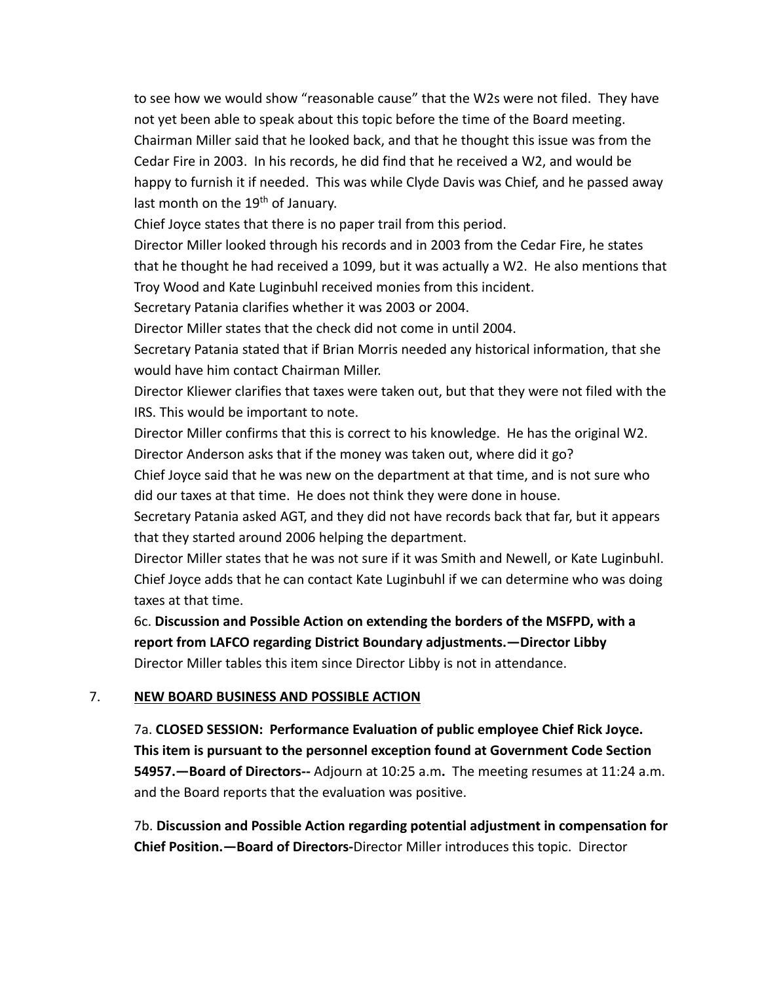to see how we would show "reasonable cause" that the W2s were not filed. They have not yet been able to speak about this topic before the time of the Board meeting. Chairman Miller said that he looked back, and that he thought this issue was from the Cedar Fire in 2003. In his records, he did find that he received a W2, and would be happy to furnish it if needed. This was while Clyde Davis was Chief, and he passed away last month on the 19<sup>th</sup> of January.

Chief Joyce states that there is no paper trail from this period.

Director Miller looked through his records and in 2003 from the Cedar Fire, he states that he thought he had received a 1099, but it was actually a W2. He also mentions that Troy Wood and Kate Luginbuhl received monies from this incident.

Secretary Patania clarifies whether it was 2003 or 2004.

Director Miller states that the check did not come in until 2004.

Secretary Patania stated that if Brian Morris needed any historical information, that she would have him contact Chairman Miller.

Director Kliewer clarifies that taxes were taken out, but that they were not filed with the IRS. This would be important to note.

Director Miller confirms that this is correct to his knowledge. He has the original W2. Director Anderson asks that if the money was taken out, where did it go?

Chief Joyce said that he was new on the department at that time, and is not sure who did our taxes at that time. He does not think they were done in house.

Secretary Patania asked AGT, and they did not have records back that far, but it appears that they started around 2006 helping the department.

Director Miller states that he was not sure if it was Smith and Newell, or Kate Luginbuhl. Chief Joyce adds that he can contact Kate Luginbuhl if we can determine who was doing taxes at that time.

6c. **Discussion and Possible Action on extending the borders of the MSFPD, with a report from LAFCO regarding District Boundary adjustments.—Director Libby** Director Miller tables this item since Director Libby is not in attendance.

### 7. **NEW BOARD BUSINESS AND POSSIBLE ACTION**

7a. **CLOSED SESSION: Performance Evaluation of public employee Chief Rick Joyce. This item is pursuant to the personnel exception found at Government Code Section 54957.—Board of Directors‐‐** Adjourn at 10:25 a.m**.** The meeting resumes at 11:24 a.m. and the Board reports that the evaluation was positive.

7b. **Discussion and Possible Action regarding potential adjustment in compensation for Chief Position.—Board of Directors‐**Director Miller introduces this topic. Director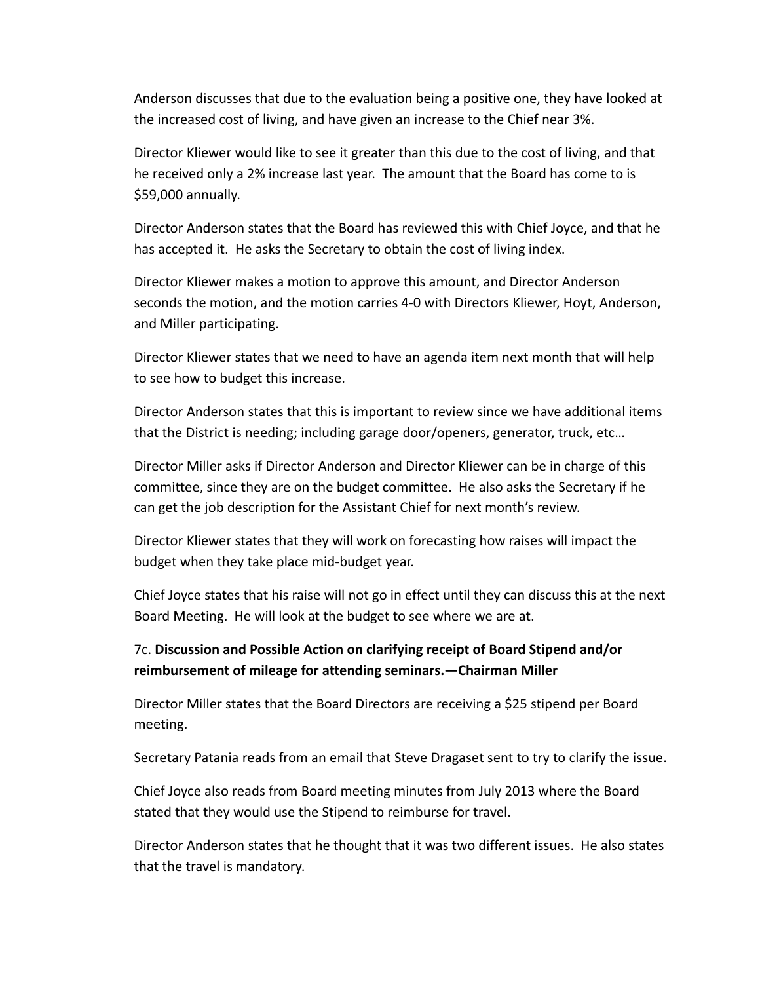Anderson discusses that due to the evaluation being a positive one, they have looked at the increased cost of living, and have given an increase to the Chief near 3%.

Director Kliewer would like to see it greater than this due to the cost of living, and that he received only a 2% increase last year. The amount that the Board has come to is \$59,000 annually.

Director Anderson states that the Board has reviewed this with Chief Joyce, and that he has accepted it. He asks the Secretary to obtain the cost of living index.

Director Kliewer makes a motion to approve this amount, and Director Anderson seconds the motion, and the motion carries 4‐0 with Directors Kliewer, Hoyt, Anderson, and Miller participating.

Director Kliewer states that we need to have an agenda item next month that will help to see how to budget this increase.

Director Anderson states that this is important to review since we have additional items that the District is needing; including garage door/openers, generator, truck, etc…

Director Miller asks if Director Anderson and Director Kliewer can be in charge of this committee, since they are on the budget committee. He also asks the Secretary if he can get the job description for the Assistant Chief for next month's review.

Director Kliewer states that they will work on forecasting how raises will impact the budget when they take place mid‐budget year.

Chief Joyce states that his raise will not go in effect until they can discuss this at the next Board Meeting. He will look at the budget to see where we are at.

## 7c. **Discussion and Possible Action on clarifying receipt of Board Stipend and/or reimbursement of mileage for attending seminars.—Chairman Miller**

Director Miller states that the Board Directors are receiving a \$25 stipend per Board meeting.

Secretary Patania reads from an email that Steve Dragaset sent to try to clarify the issue.

Chief Joyce also reads from Board meeting minutes from July 2013 where the Board stated that they would use the Stipend to reimburse for travel.

Director Anderson states that he thought that it was two different issues. He also states that the travel is mandatory.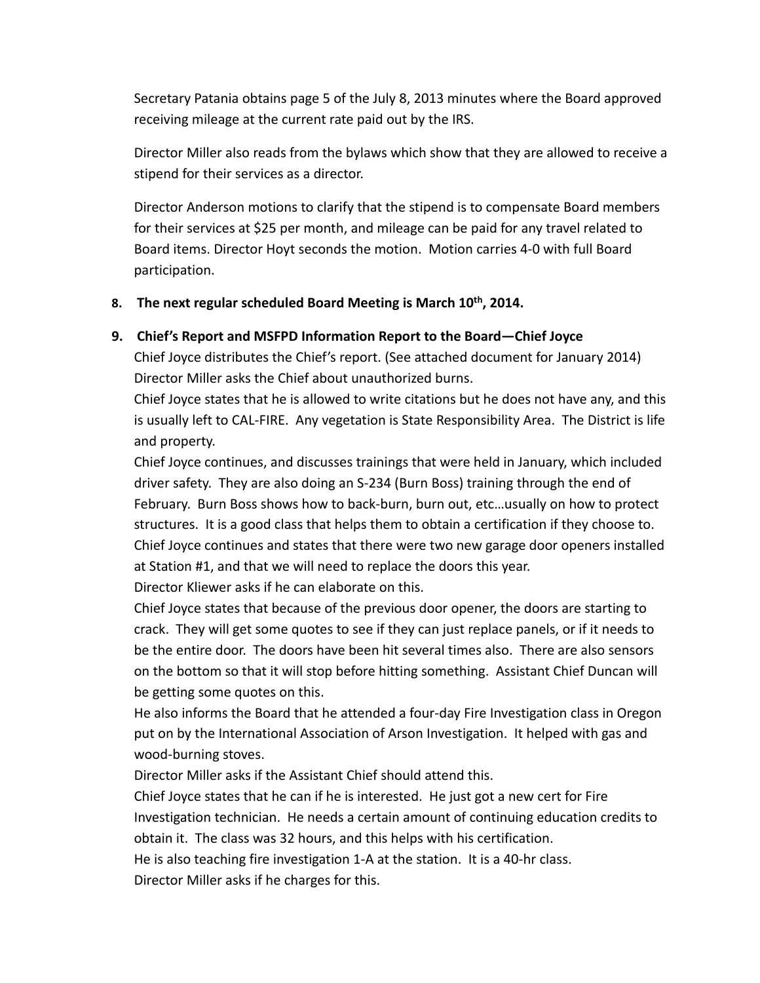Secretary Patania obtains page 5 of the July 8, 2013 minutes where the Board approved receiving mileage at the current rate paid out by the IRS.

Director Miller also reads from the bylaws which show that they are allowed to receive a stipend for their services as a director.

Director Anderson motions to clarify that the stipend is to compensate Board members for their services at \$25 per month, and mileage can be paid for any travel related to Board items. Director Hoyt seconds the motion. Motion carries 4‐0 with full Board participation.

### **8. The next regular scheduled Board Meeting is March 10th, 2014.**

#### **9. Chief's Report and MSFPD Information Report to the Board—Chief Joyce**

Chief Joyce distributes the Chief's report. (See attached document for January 2014) Director Miller asks the Chief about unauthorized burns.

Chief Joyce states that he is allowed to write citations but he does not have any, and this is usually left to CAL‐FIRE. Any vegetation is State Responsibility Area. The District is life and property.

Chief Joyce continues, and discusses trainings that were held in January, which included driver safety. They are also doing an S‐234 (Burn Boss) training through the end of February. Burn Boss shows how to back‐burn, burn out, etc…usually on how to protect structures. It is a good class that helps them to obtain a certification if they choose to. Chief Joyce continues and states that there were two new garage door openers installed at Station #1, and that we will need to replace the doors this year. Director Kliewer asks if he can elaborate on this.

Chief Joyce states that because of the previous door opener, the doors are starting to crack. They will get some quotes to see if they can just replace panels, or if it needs to be the entire door. The doors have been hit several times also. There are also sensors on the bottom so that it will stop before hitting something. Assistant Chief Duncan will be getting some quotes on this.

He also informs the Board that he attended a four‐day Fire Investigation class in Oregon put on by the International Association of Arson Investigation. It helped with gas and wood‐burning stoves.

Director Miller asks if the Assistant Chief should attend this.

Chief Joyce states that he can if he is interested. He just got a new cert for Fire Investigation technician. He needs a certain amount of continuing education credits to obtain it. The class was 32 hours, and this helps with his certification.

He is also teaching fire investigation 1‐A at the station. It is a 40‐hr class.

Director Miller asks if he charges for this.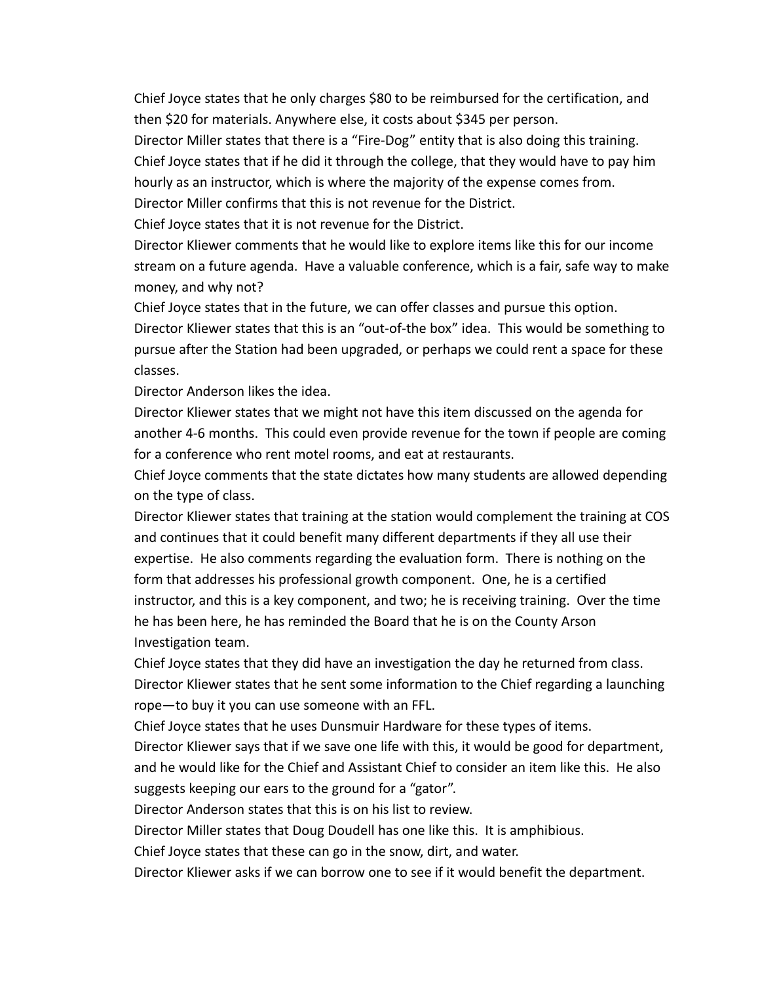Chief Joyce states that he only charges \$80 to be reimbursed for the certification, and then \$20 for materials. Anywhere else, it costs about \$345 per person.

Director Miller states that there is a "Fire-Dog" entity that is also doing this training. Chief Joyce states that if he did it through the college, that they would have to pay him hourly as an instructor, which is where the majority of the expense comes from.

Director Miller confirms that this is not revenue for the District.

Chief Joyce states that it is not revenue for the District.

Director Kliewer comments that he would like to explore items like this for our income stream on a future agenda. Have a valuable conference, which is a fair, safe way to make money, and why not?

Chief Joyce states that in the future, we can offer classes and pursue this option. Director Kliewer states that this is an "out‐of‐the box" idea. This would be something to pursue after the Station had been upgraded, or perhaps we could rent a space for these classes.

Director Anderson likes the idea.

Director Kliewer states that we might not have this item discussed on the agenda for another 4‐6 months. This could even provide revenue for the town if people are coming for a conference who rent motel rooms, and eat at restaurants.

Chief Joyce comments that the state dictates how many students are allowed depending on the type of class.

Director Kliewer states that training at the station would complement the training at COS and continues that it could benefit many different departments if they all use their expertise. He also comments regarding the evaluation form. There is nothing on the form that addresses his professional growth component. One, he is a certified instructor, and this is a key component, and two; he is receiving training. Over the time he has been here, he has reminded the Board that he is on the County Arson Investigation team.

Chief Joyce states that they did have an investigation the day he returned from class. Director Kliewer states that he sent some information to the Chief regarding a launching rope—to buy it you can use someone with an FFL.

Chief Joyce states that he uses Dunsmuir Hardware for these types of items.

Director Kliewer says that if we save one life with this, it would be good for department, and he would like for the Chief and Assistant Chief to consider an item like this. He also suggests keeping our ears to the ground for a "gator".

Director Anderson states that this is on his list to review.

Director Miller states that Doug Doudell has one like this. It is amphibious.

Chief Joyce states that these can go in the snow, dirt, and water.

Director Kliewer asks if we can borrow one to see if it would benefit the department.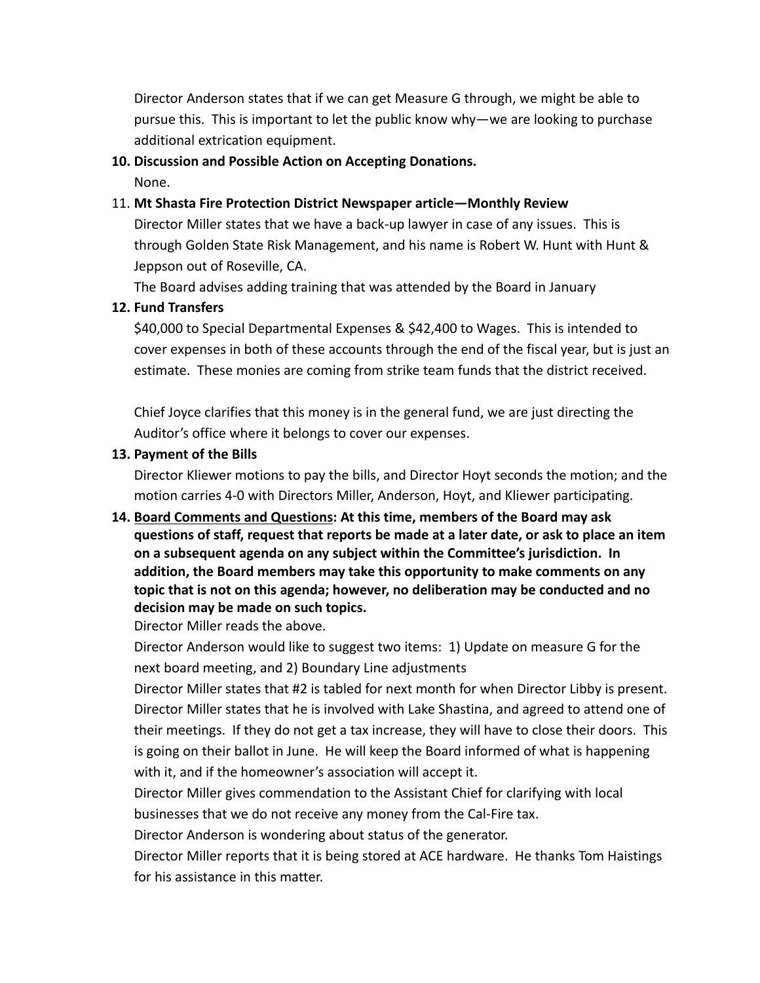Director Anderson states that if we can get Measure G through, we might be able to pursue this. This is important to let the public know why—we are looking to purchase additional extrication equipment.

#### **10. Discussion and Possible Action on Accepting Donations.**

None.

### 11. **Mt Shasta Fire Protection District Newspaper article—Monthly Review**

Director Miller states that we have a back‐up lawyer in case of any issues. This is through Golden State Risk Management, and his name is Robert W. Hunt with Hunt & Jeppson out of Roseville, CA.

The Board advises adding training that was attended by the Board in January

### **12. Fund Transfers**

\$40,000 to Special Departmental Expenses & \$42,400 to Wages. This is intended to cover expenses in both of these accounts through the end of the fiscal year, but is just an estimate. These monies are coming from strike team funds that the district received.

Chief Joyce clarifies that this money is in the general fund, we are just directing the Auditor's office where it belongs to cover our expenses.

#### **13. Payment of the Bills**

Director Kliewer motions to pay the bills, and Director Hoyt seconds the motion; and the motion carries 4‐0 with Directors Miller, Anderson, Hoyt, and Kliewer participating.

# **14. Board Comments and Questions: At this time, members of the Board may ask questions of staff, request that reports be made at a later date, or ask to place an item on a subsequent agenda on any subject within the Committee's jurisdiction. In addition, the Board members may take this opportunity to make comments on any topic that is not on this agenda; however, no deliberation may be conducted and no decision may be made on such topics.**

Director Miller reads the above.

Director Anderson would like to suggest two items: 1) Update on measure G for the next board meeting, and 2) Boundary Line adjustments

Director Miller states that #2 is tabled for next month for when Director Libby is present. Director Miller states that he is involved with Lake Shastina, and agreed to attend one of their meetings. If they do not get a tax increase, they will have to close their doors. This is going on their ballot in June. He will keep the Board informed of what is happening with it, and if the homeowner's association will accept it.

Director Miller gives commendation to the Assistant Chief for clarifying with local businesses that we do not receive any money from the Cal‐Fire tax.

Director Anderson is wondering about status of the generator.

Director Miller reports that it is being stored at ACE hardware. He thanks Tom Haistings for his assistance in this matter.